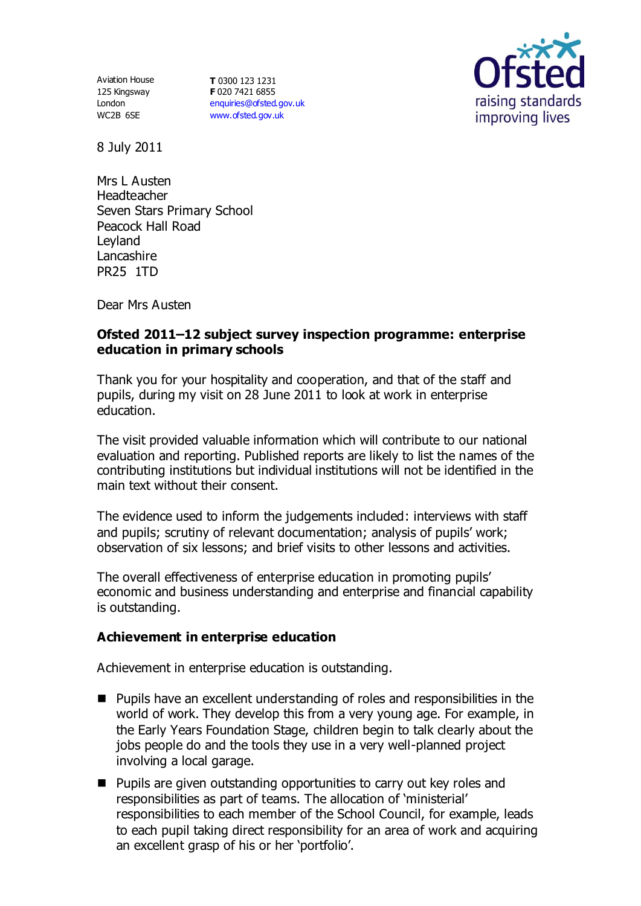Aviation House 125 Kingsway London WC2B 6SE

**T** 0300 123 1231 **F** 020 7421 6855 [enquiries@ofsted.gov.uk](mailto:enquiries@ofsted.gov.uk) [www.ofsted.gov.uk](http://www.ofsted.gov.uk/)



8 July 2011

Mrs L Austen **Headteacher** Seven Stars Primary School Peacock Hall Road Leyland Lancashire PR25 1TD

Dear Mrs Austen

### **Ofsted 2011–12 subject survey inspection programme: enterprise education in primary schools**

Thank you for your hospitality and cooperation, and that of the staff and pupils, during my visit on 28 June 2011 to look at work in enterprise education.

The visit provided valuable information which will contribute to our national evaluation and reporting. Published reports are likely to list the names of the contributing institutions but individual institutions will not be identified in the main text without their consent.

The evidence used to inform the judgements included: interviews with staff and pupils; scrutiny of relevant documentation; analysis of pupils' work; observation of six lessons; and brief visits to other lessons and activities.

The overall effectiveness of enterprise education in promoting pupils' economic and business understanding and enterprise and financial capability is outstanding.

# **Achievement in enterprise education**

Achievement in enterprise education is outstanding.

- **Pupils have an excellent understanding of roles and responsibilities in the** world of work. They develop this from a very young age. For example, in the Early Years Foundation Stage, children begin to talk clearly about the jobs people do and the tools they use in a very well-planned project involving a local garage.
- Pupils are given outstanding opportunities to carry out key roles and responsibilities as part of teams. The allocation of 'ministerial' responsibilities to each member of the School Council, for example, leads to each pupil taking direct responsibility for an area of work and acquiring an excellent grasp of his or her 'portfolio'.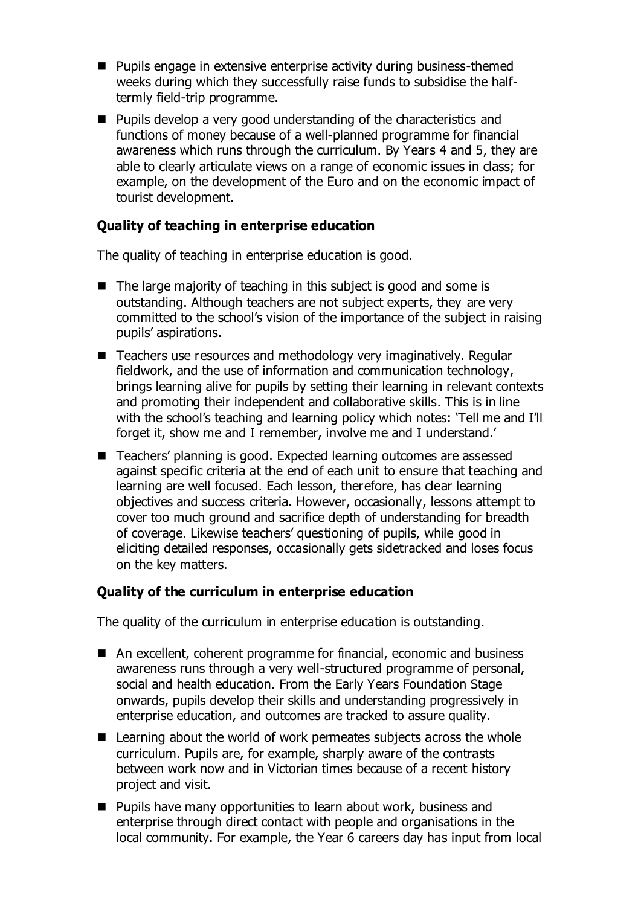- Pupils engage in extensive enterprise activity during business-themed weeks during which they successfully raise funds to subsidise the halftermly field-trip programme.
- Pupils develop a very good understanding of the characteristics and functions of money because of a well-planned programme for financial awareness which runs through the curriculum. By Years 4 and 5, they are able to clearly articulate views on a range of economic issues in class; for example, on the development of the Euro and on the economic impact of tourist development.

# **Quality of teaching in enterprise education**

The quality of teaching in enterprise education is good.

- The large majority of teaching in this subject is good and some is outstanding. Although teachers are not subject experts, they are very committed to the school's vision of the importance of the subject in raising pupils' aspirations.
- Teachers use resources and methodology very imaginatively. Regular fieldwork, and the use of information and communication technology, brings learning alive for pupils by setting their learning in relevant contexts and promoting their independent and collaborative skills. This is in line with the school's teaching and learning policy which notes: 'Tell me and I'll forget it, show me and I remember, involve me and I understand.'
- Teachers' planning is good. Expected learning outcomes are assessed against specific criteria at the end of each unit to ensure that teaching and learning are well focused. Each lesson, therefore, has clear learning objectives and success criteria. However, occasionally, lessons attempt to cover too much ground and sacrifice depth of understanding for breadth of coverage. Likewise teachers' questioning of pupils, while good in eliciting detailed responses, occasionally gets sidetracked and loses focus on the key matters.

# **Quality of the curriculum in enterprise education**

The quality of the curriculum in enterprise education is outstanding.

- An excellent, coherent programme for financial, economic and business awareness runs through a very well-structured programme of personal, social and health education. From the Early Years Foundation Stage onwards, pupils develop their skills and understanding progressively in enterprise education, and outcomes are tracked to assure quality.
- $\blacksquare$  Learning about the world of work permeates subjects across the whole curriculum. Pupils are, for example, sharply aware of the contrasts between work now and in Victorian times because of a recent history project and visit.
- **Pupils have many opportunities to learn about work, business and** enterprise through direct contact with people and organisations in the local community. For example, the Year 6 careers day has input from local